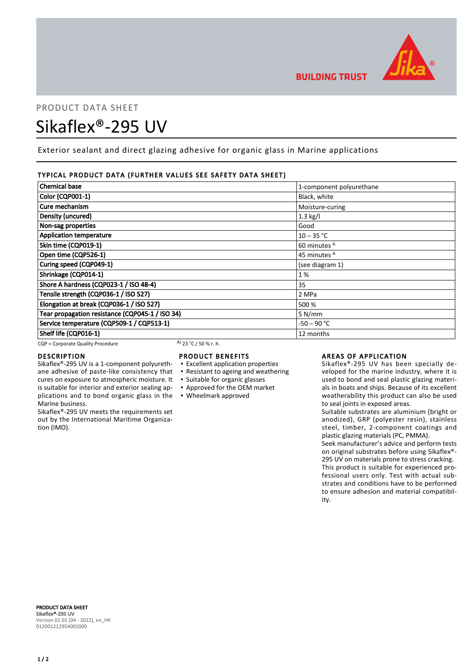

# PRODUCT DATA SHEET Sikaflex®-295 UV

Exterior sealant and direct glazing adhesive for organic glass in Marine applications

# TYPICAL PRODUCT DATA (FURTHER VALUES SEE SAFETY DATA SHEET)

| <b>Chemical base</b>                                                                                                                                                                                                                                                                                                               | 1-component polyurethane |
|------------------------------------------------------------------------------------------------------------------------------------------------------------------------------------------------------------------------------------------------------------------------------------------------------------------------------------|--------------------------|
|                                                                                                                                                                                                                                                                                                                                    |                          |
| <b>Color (CQP001-1)</b>                                                                                                                                                                                                                                                                                                            | Black, white             |
| Cure mechanism                                                                                                                                                                                                                                                                                                                     | Moisture-curing          |
| Density (uncured)                                                                                                                                                                                                                                                                                                                  | $1.3$ kg/l               |
| Non-sag properties                                                                                                                                                                                                                                                                                                                 | Good                     |
| <b>Application temperature</b>                                                                                                                                                                                                                                                                                                     | $10 - 35 °C$             |
| Skin time (CQP019-1)                                                                                                                                                                                                                                                                                                               | 60 minutes <sup>A</sup>  |
| Open time (CQP526-1)                                                                                                                                                                                                                                                                                                               | 45 minutes <sup>A</sup>  |
| Curing speed (CQP049-1)                                                                                                                                                                                                                                                                                                            | (see diagram 1)          |
| Shrinkage (CQP014-1)                                                                                                                                                                                                                                                                                                               | 1%                       |
| Shore A hardness (CQP023-1 / ISO 48-4)                                                                                                                                                                                                                                                                                             | 35                       |
| Tensile strength (CQP036-1 / ISO 527)                                                                                                                                                                                                                                                                                              | 2 MPa                    |
| Elongation at break (CQP036-1 / ISO 527)                                                                                                                                                                                                                                                                                           | 500 %                    |
| Tear propagation resistance (CQP045-1 / ISO 34)                                                                                                                                                                                                                                                                                    | 5 N/mm                   |
| Service temperature (CQP509-1 / CQP513-1)                                                                                                                                                                                                                                                                                          | -50 – 90 °C              |
| Shelf life (CQP016-1)                                                                                                                                                                                                                                                                                                              | 12 months                |
| $\mathbf{A}$ $\mathbf{A}$ $\mathbf{A}$ $\mathbf{A}$ $\mathbf{A}$ $\mathbf{A}$ $\mathbf{A}$ $\mathbf{A}$ $\mathbf{A}$ $\mathbf{A}$ $\mathbf{A}$ $\mathbf{A}$ $\mathbf{A}$ $\mathbf{A}$ $\mathbf{A}$ $\mathbf{A}$ $\mathbf{A}$ $\mathbf{A}$ $\mathbf{A}$ $\mathbf{A}$ $\mathbf{A}$ $\mathbf{A}$ $\mathbf{A}$ $\mathbf{A}$ $\mathbf{$ |                          |

 $CQP =$  Corporate Quality Procedure  $(A)$  23 °C / 50 % r. h.

ane adhesive of paste-like consistency that cures on exposure to atmospheric moisture. It is suitable for interior and exterior sealing ap-

Sikaflex®-295 UV meets the requirements set out by the International Maritime Organiza-

#### DESCRIPTION Sikaflex®-295 UV is a 1-component polyureth-

Marine business.

tion (IMO).

# PRODUCT BENEFITS

- Excellent application properties
- Resistant to ageing and weathering
- Suitable for organic glasses
- Approved for the OEM market
- plications and to bond organic glass in the Wheelmark approved

# AREAS OF APPLICATION

Sikaflex®-295 UV has been specially developed for the marine industry, where it is used to bond and seal plastic glazing materials in boats and ships. Because of its excellent weatherability this product can also be used to seal joints in exposed areas.

Suitable substrates are aluminium (bright or anodized), GRP (polyester resin), stainless steel, timber, 2-component coatings and plastic glazing materials (PC, PMMA).

Seek manufacturer's advice and perform tests on original substrates before using Sikaflex®- 295 UV on materials prone to stress cracking. This product is suitable for experienced professional users only. Test with actual substrates and conditions have to be performed to ensure adhesion and material compatibility.

PRODUCT DATA SHEET Sikaflex®-295 UV Version 02.01 (04 - 2022), en\_HK 012001212954001000